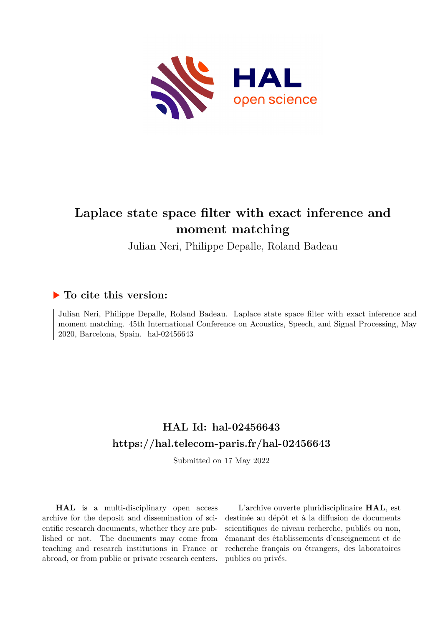

# **Laplace state space filter with exact inference and moment matching**

Julian Neri, Philippe Depalle, Roland Badeau

# **To cite this version:**

Julian Neri, Philippe Depalle, Roland Badeau. Laplace state space filter with exact inference and moment matching. 45th International Conference on Acoustics, Speech, and Signal Processing, May  $2020$ , Barcelona, Spain. hal-02456643

# **HAL Id: hal-02456643 <https://hal.telecom-paris.fr/hal-02456643>**

Submitted on 17 May 2022

**HAL** is a multi-disciplinary open access archive for the deposit and dissemination of scientific research documents, whether they are published or not. The documents may come from teaching and research institutions in France or abroad, or from public or private research centers.

L'archive ouverte pluridisciplinaire **HAL**, est destinée au dépôt et à la diffusion de documents scientifiques de niveau recherche, publiés ou non, émanant des établissements d'enseignement et de recherche français ou étrangers, des laboratoires publics ou privés.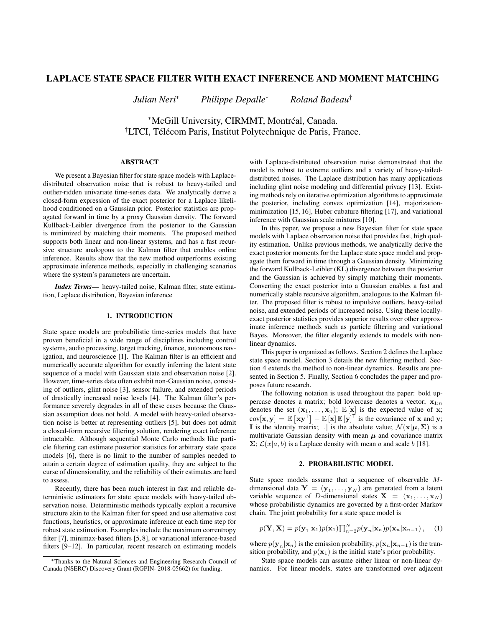### LAPLACE STATE SPACE FILTER WITH EXACT INFERENCE AND MOMENT MATCHING

*Julian Neri*<sup>∗</sup> *Philippe Depalle*<sup>∗</sup> *Roland Badeau*†

<sup>∗</sup>McGill University, CIRMMT, Montreal, Canada. ´ <sup>†</sup>LTCI, Télécom Paris, Institut Polytechnique de Paris, France.

## ABSTRACT

We present a Bayesian filter for state space models with Laplacedistributed observation noise that is robust to heavy-tailed and outlier-ridden univariate time-series data. We analytically derive a closed-form expression of the exact posterior for a Laplace likelihood conditioned on a Gaussian prior. Posterior statistics are propagated forward in time by a proxy Gaussian density. The forward Kullback-Leibler divergence from the posterior to the Gaussian is minimized by matching their moments. The proposed method supports both linear and non-linear systems, and has a fast recursive structure analogous to the Kalman filter that enables online inference. Results show that the new method outperforms existing approximate inference methods, especially in challenging scenarios where the system's parameters are uncertain.

*Index Terms*— heavy-tailed noise, Kalman filter, state estimation, Laplace distribution, Bayesian inference

#### 1. INTRODUCTION

State space models are probabilistic time-series models that have proven beneficial in a wide range of disciplines including control systems, audio processing, target tracking, finance, autonomous navigation, and neuroscience [1]. The Kalman filter is an efficient and numerically accurate algorithm for exactly inferring the latent state sequence of a model with Gaussian state and observation noise [2]. However, time-series data often exhibit non-Gaussian noise, consisting of outliers, glint noise [3], sensor failure, and extended periods of drastically increased noise levels [4]. The Kalman filter's performance severely degrades in all of these cases because the Gaussian assumption does not hold. A model with heavy-tailed observation noise is better at representing outliers [5], but does not admit a closed-form recursive filtering solution, rendering exact inference intractable. Although sequential Monte Carlo methods like particle filtering can estimate posterior statistics for arbitrary state space models [6], there is no limit to the number of samples needed to attain a certain degree of estimation quality, they are subject to the curse of dimensionality, and the reliability of their estimates are hard to assess.

Recently, there has been much interest in fast and reliable deterministic estimators for state space models with heavy-tailed observation noise. Deterministic methods typically exploit a recursive structure akin to the Kalman filter for speed and use alternative cost functions, heuristics, or approximate inference at each time step for robust state estimation. Examples include the maximum correntropy filter [7], minimax-based filters [5, 8], or variational inference-based filters [9–12]. In particular, recent research on estimating models with Laplace-distributed observation noise demonstrated that the model is robust to extreme outliers and a variety of heavy-taileddistributed noises. The Laplace distribution has many applications including glint noise modeling and differential privacy [13]. Existing methods rely on iterative optimization algorithms to approximate the posterior, including convex optimization [14], majorizationminimization [15, 16], Huber cubature filtering [17], and variational inference with Gaussian scale mixtures [10].

In this paper, we propose a new Bayesian filter for state space models with Laplace observation noise that provides fast, high quality estimation. Unlike previous methods, we analytically derive the exact posterior moments for the Laplace state space model and propagate them forward in time through a Gaussian density. Minimizing the forward Kullback-Leibler (KL) divergence between the posterior and the Gaussian is achieved by simply matching their moments. Converting the exact posterior into a Gaussian enables a fast and numerically stable recursive algorithm, analogous to the Kalman filter. The proposed filter is robust to impulsive outliers, heavy-tailed noise, and extended periods of increased noise. Using these locallyexact posterior statistics provides superior results over other approximate inference methods such as particle filtering and variational Bayes. Moreover, the filter elegantly extends to models with nonlinear dynamics.

This paper is organized as follows. Section 2 defines the Laplace state space model. Section 3 details the new filtering method. Section 4 extends the method to non-linear dynamics. Results are presented in Section 5. Finally, Section 6 concludes the paper and proposes future research.

The following notation is used throughout the paper: bold uppercase denotes a matrix; bold lowercase denotes a vector;  $\mathbf{x}_{1:n}$ denotes the set  $(x_1, \ldots, x_n)$ ;  $\mathbb{E}[x]$  is the expected value of x;  $cov[\mathbf{x}, \mathbf{y}] = \mathbb{E} [\mathbf{x} \mathbf{y}^{\mathsf{T}}] - \mathbb{E} [\mathbf{x}] \mathbb{E} [\mathbf{y}]^{\mathsf{T}}$  is the covariance of x and y; I is the identity matrix; |.| is the absolute value;  $\mathcal{N}(\mathbf{x}|\boldsymbol{\mu}, \boldsymbol{\Sigma})$  is a multivariate Gaussian density with mean  $\mu$  and covariance matrix  $\Sigma$ ;  $\mathcal{L}(x|a, b)$  is a Laplace density with mean a and scale b [18].

#### 2. PROBABILISTIC MODEL

State space models assume that a sequence of observable Mdimensional data  $Y = (\mathbf{y}_1, \dots, \mathbf{y}_N)$  are generated from a latent variable sequence of D-dimensional states  $X = (\mathbf{x}_1, \dots, \mathbf{x}_N)$ whose probabilistic dynamics are governed by a first-order Markov chain. The joint probability for a state space model is

$$
p(\mathbf{Y}, \mathbf{X}) = p(\mathbf{y}_1 | \mathbf{x}_1) p(\mathbf{x}_1) \prod_{n=2}^{N} p(\mathbf{y}_n | \mathbf{x}_n) p(\mathbf{x}_n | \mathbf{x}_{n-1}), \quad (1)
$$

where  $p(\mathbf{y}_n|\mathbf{x}_n)$  is the emission probability,  $p(\mathbf{x}_n|\mathbf{x}_{n-1})$  is the transition probability, and  $p(\mathbf{x}_1)$  is the initial state's prior probability.

State space models can assume either linear or non-linear dynamics. For linear models, states are transformed over adjacent

<sup>∗</sup>Thanks to the Natural Sciences and Engineering Research Council of Canada (NSERC) Discovery Grant (RGPIN- 2018-05662) for funding.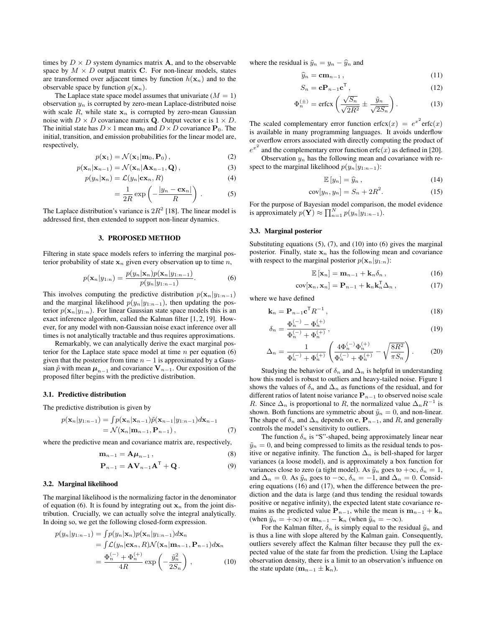times by  $D \times D$  system dynamics matrix **A**, and to the observable space by  $M \times D$  output matrix C. For non-linear models, states are transformed over adjacent times by function  $h(\mathbf{x}_n)$  and to the observable space by function  $g(\mathbf{x}_n)$ .

The Laplace state space model assumes that univariate  $(M = 1)$ observation  $y_n$  is corrupted by zero-mean Laplace-distributed noise with scale R, while state  $x_n$  is corrupted by zero-mean Gaussian noise with  $D \times D$  covariance matrix **Q**. Output vector **c** is  $1 \times D$ . The initial state has  $D \times 1$  mean  $m_0$  and  $D \times D$  covariance  $P_0$ . The initial, transition, and emission probabilities for the linear model are, respectively,

$$
p(\mathbf{x}_1) = \mathcal{N}(\mathbf{x}_1 | \mathbf{m}_0, \mathbf{P}_0), \qquad (2)
$$

$$
p(\mathbf{x}_n|\mathbf{x}_{n-1}) = \mathcal{N}(\mathbf{x}_n|\mathbf{A}\mathbf{x}_{n-1}, \mathbf{Q}),
$$
\n(3)

$$
p(y_n|\mathbf{x}_n) = \mathcal{L}(y_n|\mathbf{cx}_n, R) \tag{4}
$$

$$
= \frac{1}{2R} \exp\left(-\frac{|y_n - \mathbf{cx}_n|}{R}\right).
$$
 (5)

The Laplace distribution's variance is  $2R^2$  [18]. The linear model is addressed first, then extended to support non-linear dynamics.

#### 3. PROPOSED METHOD

Filtering in state space models refers to inferring the marginal posterior probability of state  $x_n$  given every observation up to time n,

$$
p(\mathbf{x}_n|y_{1:n}) = \frac{p(y_n|\mathbf{x}_n)p(\mathbf{x}_n|y_{1:n-1})}{p(y_n|y_{1:n-1})}.
$$
 (6)

This involves computing the predictive distribution  $p(\mathbf{x}_n|y_{1:n-1})$ and the marginal likelihood  $p(y_n|y_{1:n-1})$ , then updating the posterior  $p(\mathbf{x}_n|y_{1:n})$ . For linear Gaussian state space models this is an exact inference algorithm, called the Kalman filter [1, 2, 19]. However, for any model with non-Gaussian noise exact inference over all times is not analytically tractable and thus requires approximations.

Remarkably, we can analytically derive the exact marginal posterior for the Laplace state space model at time  $n$  per equation  $(6)$ given that the posterior from time  $n - 1$  is approximated by a Gaussian  $\tilde{p}$  with mean  $\mu_{n-1}$  and covariance  $V_{n-1}$ . Our exposition of the proposed filter begins with the predictive distribution.

#### 3.1. Predictive distribution

The predictive distribution is given by

$$
p(\mathbf{x}_n|y_{1:n-1}) = \int p(\mathbf{x}_n|\mathbf{x}_{n-1})\tilde{p}(\mathbf{x}_{n-1}|y_{1:n-1})d\mathbf{x}_{n-1}
$$
  
=  $\mathcal{N}(\mathbf{x}_n|\mathbf{m}_{n-1}, \mathbf{P}_{n-1}),$  (7)

where the predictive mean and covariance matrix are, respectively,

 $m_{n-1} = A\mu_{n-1}$  $,$  (8)

$$
\mathbf{P}_{n-1} = \mathbf{A} \mathbf{V}_{n-1} \mathbf{A}^{\mathsf{T}} + \mathbf{Q}.
$$
 (9)

#### 3.2. Marginal likelihood

The marginal likelihood is the normalizing factor in the denominator of equation (6). It is found by integrating out  $x_n$  from the joint distribution. Crucially, we can actually solve the integral analytically. In doing so, we get the following closed-form expression.

$$
p(y_n|y_{1:n-1}) = \int p(y_n|\mathbf{x}_n)p(\mathbf{x}_n|y_{1:n-1})d\mathbf{x}_n
$$
  
= 
$$
\int \mathcal{L}(y_n|\mathbf{cx}_n, R)\mathcal{N}(\mathbf{x}_n|\mathbf{m}_{n-1}, \mathbf{P}_{n-1})d\mathbf{x}_n
$$
  
= 
$$
\frac{\Phi_n^{(-)} + \Phi_n^{(+)}}{4R} \exp\left(-\frac{\tilde{y}_n^2}{2S_n}\right),
$$
 (10)

where the residual is  $\tilde{y}_n = y_n - \hat{y}_n$  and

$$
\widehat{y}_n = \mathbf{cm}_{n-1},\tag{11}
$$

$$
S_n = \mathbf{c} \mathbf{P}_{n-1} \mathbf{c}^\mathsf{T} \,,\tag{12}
$$

$$
\Phi_n^{(\pm)} = \text{erfcx}\left(\frac{\sqrt{S_n}}{\sqrt{2R^2}} \pm \frac{\tilde{y}_n}{\sqrt{2S_n}}\right). \tag{13}
$$

The scaled complementary error function erfcx $(x) = e^{x^2}$ erfc $(x)$ is available in many programming languages. It avoids underflow or overflow errors associated with directly computing the product of  $e^{x^2}$ and the complementary error function erfc $(x)$  as defined in [20].

Observation  $y_n$  has the following mean and covariance with respect to the marginal likelihood  $p(y_n|y_{1:n-1})$ :

$$
\mathbb{E}\left[y_n\right] = \widehat{y}_n\,,\tag{14}
$$

$$
cov[y_n, y_n] = S_n + 2R^2.
$$
\n(15)

For the purpose of Bayesian model comparison, the model evidence is approximately  $p(\mathbf{Y}) \approx \prod_{n=1}^{N} p(y_n | y_{1:n-1}).$ 

#### 3.3. Marginal posterior

Substituting equations (5), (7), and (10) into (6) gives the marginal posterior. Finally, state  $x_n$  has the following mean and covariance with respect to the marginal posterior  $p(\mathbf{x}_n|y_{1:n})$ :

$$
\mathbb{E}\left[\mathbf{x}_n\right] = \mathbf{m}_{n-1} + \mathbf{k}_n \delta_n \,, \tag{16}
$$

$$
cov[\mathbf{x}_n, \mathbf{x}_n] = \mathbf{P}_{n-1} + \mathbf{k}_n \mathbf{k}_n^{\mathsf{T}} \Delta_n, \qquad (17)
$$

$$
\sum_{n=1}^{\infty} \sum_{n=1}^{\infty} \sum_{n=1}^{\infty} \sum_{n=1}^{\infty} \sum_{n=1}^{\infty} \sum_{n=1}^{\infty} \sum_{n=1}^{\infty} \sum_{n=1}^{\infty} \sum_{n=1}^{\infty} \sum_{n=1}^{\infty} \sum_{n=1}^{\infty} \sum_{n=1}^{\infty} \sum_{n=1}^{\infty} \sum_{n=1}^{\infty} \sum_{n=1}^{\infty} \sum_{n=1}^{\infty} \sum_{n=1}^{\infty} \sum_{n=1}^{\infty} \sum_{n=1}^{\infty} \sum_{n=1}^{\infty} \sum_{n=1}^{\infty} \sum_{n=1}^{\infty} \sum_{n=1}^{\infty} \sum_{n=1}^{\infty} \sum_{n=1}^{\infty} \sum_{n=1}^{\infty} \sum_{n=1}^{\infty} \sum_{n=1}^{\infty} \sum_{n=1}^{\infty} \sum_{n=1}^{\infty} \sum_{n=1}^{\infty} \sum_{n=1}^{\infty} \sum_{n=1}^{\infty} \sum_{n=1}^{\infty} \sum_{n=1}^{\infty} \sum_{n=1}^{\infty} \sum_{n=1}^{\infty} \sum_{n=1}^{\infty} \sum_{n=1}^{\infty} \sum_{n=1}^{\infty} \sum_{n=1}^{\infty} \sum_{n=1}^{\infty} \sum_{n=1}^{\infty} \sum_{n=1}^{\infty} \sum_{n=1}^{\infty} \sum_{n=1}^{\infty} \sum_{n=1}^{\infty} \sum_{n=1}^{\infty} \sum_{n=1}^{\infty} \sum_{n=1}^{\infty} \sum_{n=1}^{\infty} \sum_{n=1}^{\infty} \sum_{n=1}^{\infty} \sum_{n=1}^{\infty} \sum_{n=1}^{\infty} \sum_{n=1}^{\infty} \sum_{n=1}^{\infty} \sum_{n=1}^{\infty} \sum_{n=1}^{\infty} \sum_{n=1}^{\infty} \sum_{n=1}^{\infty} \sum_{n=1}^{\infty} \sum_{n=1}^{\infty} \sum_{n
$$

where we have defined

$$
\mathbf{k}_n = \mathbf{P}_{n-1} \mathbf{c}^\mathsf{T} R^{-1},
$$
  
\n
$$
\Phi^{(-)} - \Phi^{(+)}
$$
\n(18)

$$
\delta_n = \frac{\Phi_n^{(-)} - \Phi_n^{(+)}}{\Phi_n^{(-)} + \Phi_n^{(+)}},\tag{19}
$$

$$
\Delta_n = \frac{1}{\Phi_n^{(-)} + \Phi_n^{(+)}} \left( \frac{4\Phi_n^{(-)}\Phi_n^{(+)}}{\Phi_n^{(-)} + \Phi_n^{(+)}} - \sqrt{\frac{8R^2}{\pi S_n}} \right). \tag{20}
$$

Studying the behavior of  $\delta_n$  and  $\Delta_n$  is helpful in understanding how this model is robust to outliers and heavy-tailed noise. Figure 1 shows the values of  $\delta_n$  and  $\Delta_n$  as functions of the residual, and for different ratios of latent noise variance  $P_{n-1}$  to observed noise scale R. Since  $\Delta_n$  is proportional to R, the normalized value  $\Delta_n R^{-1}$  is shown. Both functions are symmetric about  $\tilde{y}_n = 0$ , and non-linear. The shape of  $\delta_n$  and  $\Delta_n$  depends on c,  $\mathbf{P}_{n-1}$ , and R, and generally controls the model's sensitivity to outliers.

The function  $\delta_n$  is "S"-shaped, being approximately linear near  $\tilde{y}_n = 0$ , and being compressed to limits as the residual tends to positive or negative infinity. The function  $\Delta_n$  is bell-shaped for larger variances (a loose model), and is approximately a box function for variances close to zero (a tight model). As  $\tilde{y}_n$  goes to  $+\infty$ ,  $\delta_n = 1$ , and  $\Delta_n = 0$ . As  $\tilde{y}_n$  goes to  $-\infty$ ,  $\delta_n = -1$ , and  $\Delta_n = 0$ . Considering equations (16) and (17), when the difference between the prediction and the data is large (and thus tending the residual towards positive or negative infinity), the expected latent state covariance remains as the predicted value  $\mathbf{P}_{n-1}$ , while the mean is  $\mathbf{m}_{n-1} + \mathbf{k}_n$ (when  $\tilde{y}_n = +\infty$ ) or  $\mathbf{m}_{n-1} - \mathbf{k}_n$  (when  $\tilde{y}_n = -\infty$ ).

For the Kalman filter,  $\delta_n$  is simply equal to the residual  $\tilde{y}_n$  and is thus a line with slope altered by the Kalman gain. Consequently, outliers severely affect the Kalman filter because they pull the expected value of the state far from the prediction. Using the Laplace observation density, there is a limit to an observation's influence on the state update  $(\mathbf{m}_{n-1} \pm \mathbf{k}_n)$ .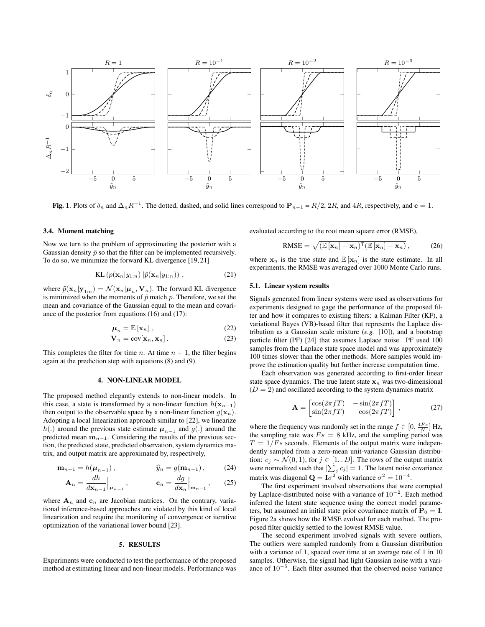

**Fig. 1**. Plots of  $\delta_n$  and  $\Delta_n R^{-1}$ . The dotted, dashed, and solid lines correspond to  $\mathbf{P}_{n-1} = R/2$ , 2R, and 4R, respectively, and  $\mathbf{c} = 1$ .

#### 3.4. Moment matching

Now we turn to the problem of approximating the posterior with a Gaussian density  $\tilde{p}$  so that the filter can be implemented recursively. To do so, we minimize the forward KL divergence [19, 21]

$$
KL\left(p(\mathbf{x}_n|y_{1:n})\|\tilde{p}(\mathbf{x}_n|y_{1:n})\right),\tag{21}
$$

where  $\tilde{p}(\mathbf{x}_n|\mathbf{y}_{1:n}) = \mathcal{N}(\mathbf{x}_n|\boldsymbol{\mu}_n, \mathbf{V}_n)$ . The forward KL divergence is minimized when the moments of  $\tilde{p}$  match p. Therefore, we set the mean and covariance of the Gaussian equal to the mean and covariance of the posterior from equations (16) and (17):

$$
\mu_n = \mathbb{E}\left[\mathbf{x}_n\right],\tag{22}
$$

$$
\mathbf{V}_n = \text{cov}[\mathbf{x}_n, \mathbf{x}_n]. \tag{23}
$$

This completes the filter for time  $n$ . At time  $n + 1$ , the filter begins again at the prediction step with equations (8) and (9).

#### 4. NON-LINEAR MODEL

The proposed method elegantly extends to non-linear models. In this case, a state is transformed by a non-linear function  $h(\mathbf{x}_{n-1})$ then output to the observable space by a non-linear function  $g(\mathbf{x}_n)$ . Adopting a local linearization approach similar to [22], we linearize h(.) around the previous state estimate  $\mu_{n-1}$  and  $g(.)$  around the predicted mean  $m_{n-1}$ . Considering the results of the previous section, the predicted state, predicted observation, system dynamics matrix, and output matrix are approximated by, respectively,

$$
\mathbf{m}_{n-1} = h(\boldsymbol{\mu}_{n-1}), \qquad \qquad \widehat{y}_n = g(\mathbf{m}_{n-1}), \qquad (24)
$$

$$
\mathbf{A}_n = \frac{dh}{d\mathbf{x}_{n-1}}\Big|_{\boldsymbol{\mu}_{n-1}}, \qquad \mathbf{c}_n = \frac{dg}{d\mathbf{x}_n}\Big|_{\mathbf{m}_{n-1}}, \qquad (25)
$$

where  $A_n$  and  $c_n$  are Jacobian matrices. On the contrary, variational inference-based approaches are violated by this kind of local linearization and require the monitoring of convergence or iterative optimization of the variational lower bound [23].

#### 5. RESULTS

Experiments were conducted to test the performance of the proposed method at estimating linear and non-linear models. Performance was

evaluated according to the root mean square error (RMSE),

$$
RMSE = \sqrt{\left(\mathbb{E}\left[\mathbf{x}_n\right] - \mathbf{x}_n\right)^{\mathsf{T}}\left(\mathbb{E}\left[\mathbf{x}_n\right] - \mathbf{x}_n\right)},\tag{26}
$$

where  $x_n$  is the true state and  $\mathbb{E}[x_n]$  is the state estimate. In all experiments, the RMSE was averaged over 1000 Monte Carlo runs.

### 5.1. Linear system results

Signals generated from linear systems were used as observations for experiments designed to gage the performance of the proposed filter and how it compares to existing filters: a Kalman Filter (KF), a variational Bayes (VB)-based filter that represents the Laplace distribution as a Gaussian scale mixture (*e.g.* [10]), and a bootstrap particle filter (PF) [24] that assumes Laplace noise. PF used 100 samples from the Laplace state space model and was approximately 100 times slower than the other methods. More samples would improve the estimation quality but further increase computation time.

Each observation was generated according to first-order linear state space dynamics. The true latent state  $x_n$  was two-dimensional  $(D = 2)$  and oscillated according to the system dynamics matrix

$$
\mathbf{A} = \begin{bmatrix} \cos(2\pi fT) & -\sin(2\pi fT) \\ \sin(2\pi fT) & \cos(2\pi fT) \end{bmatrix},
$$
 (27)

where the frequency was randomly set in the range  $f \in [0, \frac{4Fs}{N}]$  Hz, the sampling rate was  $Fs = 8$  kHz, and the sampling period was  $T = 1/Fs$  seconds. Elements of the output matrix were independently sampled from a zero-mean unit-variance Gaussian distribution:  $c_j \sim \mathcal{N}(0, 1)$ , for  $j \in [1, D]$ . The rows of the output matrix were normalized such that  $|\sum_j c_j| = 1$ . The latent noise covariance matrix was diagonal  $\mathbf{Q} = \mathbf{I} \sigma^2$  with variance  $\sigma^2 = 10^{-4}$ .

The first experiment involved observations that were corrupted by Laplace-distributed noise with a variance of  $10^{-2}$ . Each method inferred the latent state sequence using the correct model parameters, but assumed an initial state prior covariance matrix of  $P_0 = I$ . Figure 2a shows how the RMSE evolved for each method. The proposed filter quickly settled to the lowest RMSE value.

The second experiment involved signals with severe outliers. The outliers were sampled randomly from a Gaussian distribution with a variance of 1, spaced over time at an average rate of 1 in 10 samples. Otherwise, the signal had light Gaussian noise with a variance of 10−<sup>5</sup> . Each filter assumed that the observed noise variance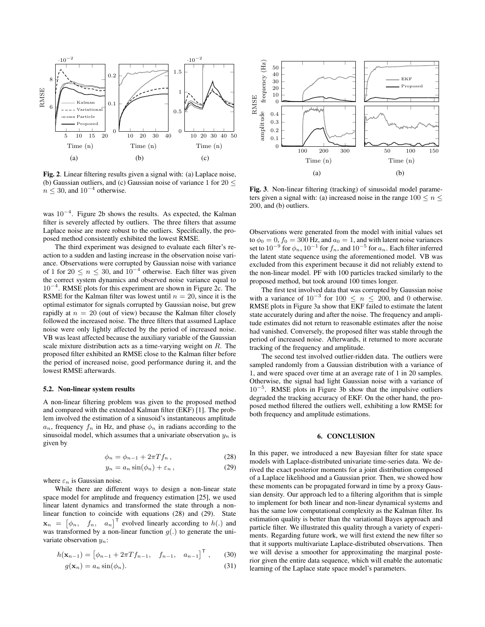

Fig. 2. Linear filtering results given a signal with: (a) Laplace noise, (b) Gaussian outliers, and (c) Gaussian noise of variance 1 for  $20 \le$  $n \leq 30$ , and  $10^{-4}$  otherwise.

was  $10^{-4}$ . Figure 2b shows the results. As expected, the Kalman filter is severely affected by outliers. The three filters that assume Laplace noise are more robust to the outliers. Specifically, the proposed method consistently exhibited the lowest RMSE.

The third experiment was designed to evaluate each filter's reaction to a sudden and lasting increase in the observation noise variance. Observations were corrupted by Gaussian noise with variance of 1 for  $20 \le n \le 30$ , and  $10^{-4}$  otherwise. Each filter was given the correct system dynamics and observed noise variance equal to 10−<sup>4</sup> . RMSE plots for this experiment are shown in Figure 2c. The RSME for the Kalman filter was lowest until  $n = 20$ , since it is the optimal estimator for signals corrupted by Gaussian noise, but grew rapidly at  $n = 20$  (out of view) because the Kalman filter closely followed the increased noise. The three filters that assumed Laplace noise were only lightly affected by the period of increased noise. VB was least affected because the auxiliary variable of the Gaussian scale mixture distribution acts as a time-varying weight on R. The proposed filter exhibited an RMSE close to the Kalman filter before the period of increased noise, good performance during it, and the lowest RMSE afterwards.

#### 5.2. Non-linear system results

A non-linear filtering problem was given to the proposed method and compared with the extended Kalman filter (EKF) [1]. The problem involved the estimation of a sinusoid's instantaneous amplitude  $a_n$ , frequency  $f_n$  in Hz, and phase  $\phi_n$  in radians according to the sinusoidal model, which assumes that a univariate observation  $y_n$  is given by

$$
\phi_n = \phi_{n-1} + 2\pi T f_n \,,\tag{28}
$$

$$
y_n = a_n \sin(\phi_n) + \varepsilon_n , \qquad (29)
$$

where  $\varepsilon_n$  is Gaussian noise.

While there are different ways to design a non-linear state space model for amplitude and frequency estimation [25], we used linear latent dynamics and transformed the state through a nonlinear function to coincide with equations (28) and (29). State  $\mathbf{x}_n = \begin{bmatrix} \phi_n, & f_n, & a_n \end{bmatrix}^\mathsf{T}$  evolved linearly according to  $h(.)$  and was transformed by a non-linear function  $g(.)$  to generate the univariate observation  $y_n$ :

$$
h(\mathbf{x}_{n-1}) = \begin{bmatrix} \phi_{n-1} + 2\pi T f_{n-1}, & f_{n-1}, & a_{n-1} \end{bmatrix}^\mathsf{T}, \qquad (30)
$$

$$
g(\mathbf{x}_n) = a_n \sin(\phi_n). \tag{31}
$$



Fig. 3. Non-linear filtering (tracking) of sinusoidal model parameters given a signal with: (a) increased noise in the range  $100 \le n \le$ 200, and (b) outliers.

Observations were generated from the model with initial values set to  $\phi_0 = 0$ ,  $f_0 = 300$  Hz, and  $a_0 = 1$ , and with latent noise variances set to  $10^{-9}$  for  $\phi_n$ ,  $10^{-1}$  for  $f_n$ , and  $10^{-5}$  for  $a_n$ . Each filter inferred the latent state sequence using the aforementioned model. VB was excluded from this experiment because it did not reliably extend to the non-linear model. PF with 100 particles tracked similarly to the proposed method, but took around 100 times longer.

The first test involved data that was corrupted by Gaussian noise with a variance of  $10^{-3}$  for  $100 \le n \le 200$ , and 0 otherwise. RMSE plots in Figure 3a show that EKF failed to estimate the latent state accurately during and after the noise. The frequency and amplitude estimates did not return to reasonable estimates after the noise had vanished. Conversely, the proposed filter was stable through the period of increased noise. Afterwards, it returned to more accurate tracking of the frequency and amplitude.

The second test involved outlier-ridden data. The outliers were sampled randomly from a Gaussian distribution with a variance of 1, and were spaced over time at an average rate of 1 in 20 samples. Otherwise, the signal had light Gaussian noise with a variance of 10−<sup>5</sup> . RMSE plots in Figure 3b show that the impulsive outliers degraded the tracking accuracy of EKF. On the other hand, the proposed method filtered the outliers well, exhibiting a low RMSE for both frequency and amplitude estimations.

#### 6. CONCLUSION

In this paper, we introduced a new Bayesian filter for state space models with Laplace-distributed univariate time-series data. We derived the exact posterior moments for a joint distribution composed of a Laplace likelihood and a Gaussian prior. Then, we showed how these moments can be propagated forward in time by a proxy Gaussian density. Our approach led to a filtering algorithm that is simple to implement for both linear and non-linear dynamical systems and has the same low computational complexity as the Kalman filter. Its estimation quality is better than the variational Bayes approach and particle filter. We illustrated this quality through a variety of experiments. Regarding future work, we will first extend the new filter so that it supports multivariate Laplace-distributed observations. Then we will devise a smoother for approximating the marginal posterior given the entire data sequence, which will enable the automatic learning of the Laplace state space model's parameters.